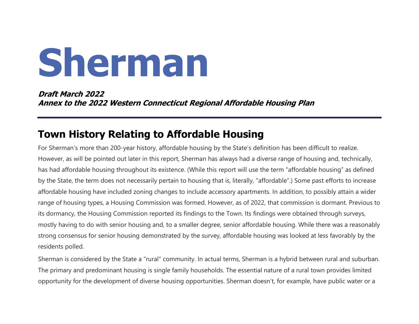# Sherman

Draft March 2022 Annex to the 2022 Western Connecticut Regional Affordable Housing Plan

## Town History Relating to Affordable Housing

For Sherman's more than 200-year history, affordable housing by the State's definition has been difficult to realize. However, as will be pointed out later in this report, Sherman has always had a diverse range of housing and, technically, has had affordable housing throughout its existence. (While this report will use the term "affordable housing" as defined by the State, the term does not necessarily pertain to housing that is, literally, "affordable".) Some past efforts to increase affordable housing have included zoning changes to include accessory apartments. In addition, to possibly attain a wider range of housing types, a Housing Commission was formed. However, as of 2022, that commission is dormant. Previous to its dormancy, the Housing Commission reported its findings to the Town. Its findings were obtained through surveys, mostly having to do with senior housing and, to a smaller degree, senior affordable housing. While there was a reasonably strong consensus for senior housing demonstrated by the survey, affordable housing was looked at less favorably by the residents polled.

Sherman is considered by the State a "rural" community. In actual terms, Sherman is a hybrid between rural and suburban. The primary and predominant housing is single family households. The essential nature of a rural town provides limited opportunity for the development of diverse housing opportunities. Sherman doesn't, for example, have public water or a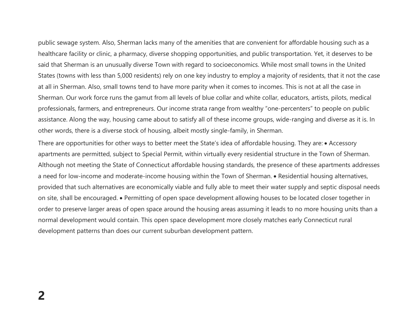public sewage system. Also, Sherman lacks many of the amenities that are convenient for affordable housing such as a healthcare facility or clinic, a pharmacy, diverse shopping opportunities, and public transportation. Yet, it deserves to be said that Sherman is an unusually diverse Town with regard to socioeconomics. While most small towns in the United States (towns with less than 5,000 residents) rely on one key industry to employ a majority of residents, that it not the case at all in Sherman. Also, small towns tend to have more parity when it comes to incomes. This is not at all the case in Sherman. Our work force runs the gamut from all levels of blue collar and white collar, educators, artists, pilots, medical professionals, farmers, and entrepreneurs. Our income strata range from wealthy "one-percenters" to people on public assistance. Along the way, housing came about to satisfy all of these income groups, wide-ranging and diverse as it is. In other words, there is a diverse stock of housing, albeit mostly single-family, in Sherman.

There are opportunities for other ways to better meet the State's idea of affordable housing. They are: • Accessory apartments are permitted, subject to Special Permit, within virtually every residential structure in the Town of Sherman. Although not meeting the State of Connecticut affordable housing standards, the presence of these apartments addresses a need for low-income and moderate-income housing within the Town of Sherman. • Residential housing alternatives, provided that such alternatives are economically viable and fully able to meet their water supply and septic disposal needs on site, shall be encouraged. • Permitting of open space development allowing houses to be located closer together in order to preserve larger areas of open space around the housing areas assuming it leads to no more housing units than a normal development would contain. This open space development more closely matches early Connecticut rural development patterns than does our current suburban development pattern.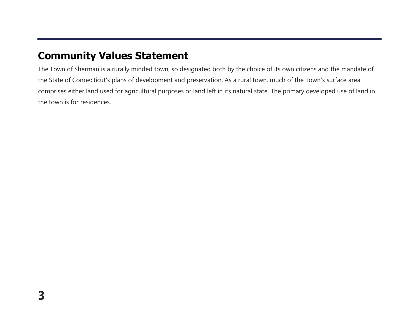## Community Values Statement

The Town of Sherman is a rurally minded town, so designated both by the choice of its own citizens and the mandate of the State of Connecticut's plans of development and preservation. As a rural town, much of the Town's surface area comprises either land used for agricultural purposes or land left in its natural state. The primary developed use of land in the town is for residences.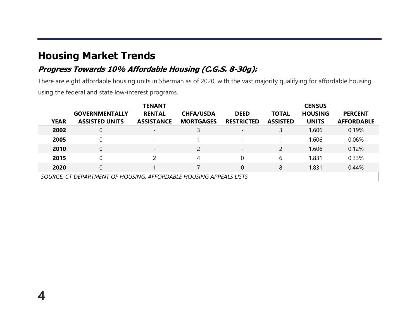## Housing Market Trends

4

#### Progress Towards 10% Affordable Housing (C.G.S. 8-30g):

There are eight affordable housing units in Sherman as of 2020, with the vast majority qualifying for affordable housing using the federal and state low-interest programs.

|             |                       | <b>TENANT</b>            |                  |                          |                 | <b>CENSUS</b>  |                   |
|-------------|-----------------------|--------------------------|------------------|--------------------------|-----------------|----------------|-------------------|
|             | <b>GOVERNMENTALLY</b> | <b>RENTAL</b>            | <b>CHFA/USDA</b> | <b>DEED</b>              | <b>TOTAL</b>    | <b>HOUSING</b> | <b>PERCENT</b>    |
| <b>YEAR</b> | <b>ASSISTED UNITS</b> | <b>ASSISTANCE</b>        | <b>MORTGAGES</b> | <b>RESTRICTED</b>        | <b>ASSISTED</b> | <b>UNITS</b>   | <b>AFFORDABLE</b> |
| 2002        | 0                     | $\overline{\phantom{0}}$ | 3                | $\overline{\phantom{0}}$ | 3               | 1,606          | 0.19%             |
| 2005        |                       | $\overline{\phantom{0}}$ |                  | $\overline{\phantom{a}}$ |                 | 1,606          | 0.06%             |
| 2010        | 0                     | $\overline{\phantom{a}}$ | $\overline{2}$   | $\overline{\phantom{0}}$ | $\overline{2}$  | 1,606          | 0.12%             |
| 2015        |                       |                          | 4                |                          | 6               | 1,831          | 0.33%             |
| 2020        | $\overline{0}$        |                          |                  |                          | 8               | 1,831          | 0.44%             |
|             |                       |                          |                  |                          |                 |                |                   |

SOURCE: CT DEPARTMENT OF HOUSING, AFFORDABLE HOUSING APPEALS LISTS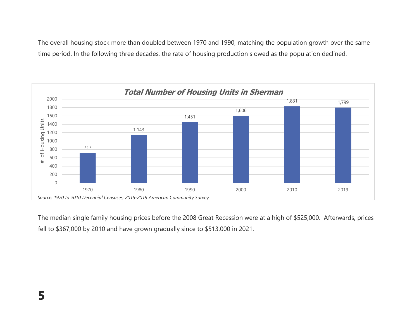The overall housing stock more than doubled between 1970 and 1990, matching the population growth over the same time period. In the following three decades, the rate of housing production slowed as the population declined.



The median single family housing prices before the 2008 Great Recession were at a high of \$525,000. Afterwards, prices fell to \$367,000 by 2010 and have grown gradually since to \$513,000 in 2021.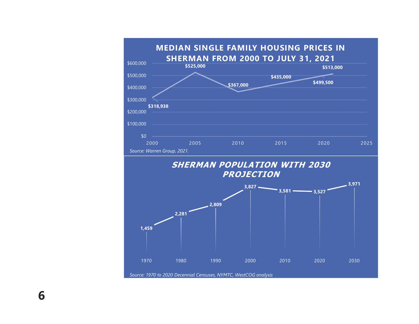

6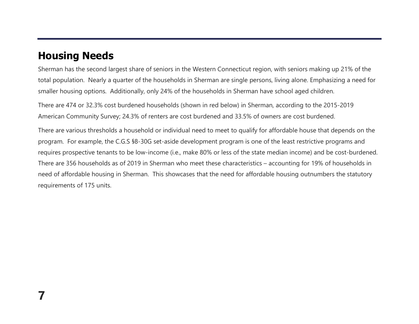## Housing Needs

Sherman has the second largest share of seniors in the Western Connecticut region, with seniors making up 21% of the total population. Nearly a quarter of the households in Sherman are single persons, living alone. Emphasizing a need for smaller housing options. Additionally, only 24% of the households in Sherman have school aged children.

There are 474 or 32.3% cost burdened households (shown in red below) in Sherman, according to the 2015-2019 American Community Survey; 24.3% of renters are cost burdened and 33.5% of owners are cost burdened.

There are various thresholds a household or individual need to meet to qualify for affordable house that depends on the program. For example, the C.G.S §8-30G set-aside development program is one of the least restrictive programs and requires prospective tenants to be low-income (i.e., make 80% or less of the state median income) and be cost-burdened. There are 356 households as of 2019 in Sherman who meet these characteristics – accounting for 19% of households in need of affordable housing in Sherman. This showcases that the need for affordable housing outnumbers the statutory requirements of 175 units.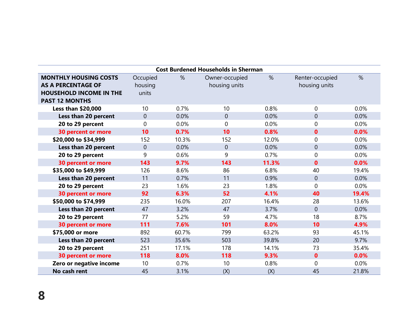| <b>Cost Burdened Households in Sherman</b> |                 |       |                |       |                 |       |  |  |  |  |  |
|--------------------------------------------|-----------------|-------|----------------|-------|-----------------|-------|--|--|--|--|--|
| <b>MONTHLY HOUSING COSTS</b>               | Occupied        | %     | Owner-occupied | $\%$  | Renter-occupied | %     |  |  |  |  |  |
| <b>AS A PERCENTAGE OF</b>                  | housing         |       | housing units  |       | housing units   |       |  |  |  |  |  |
| <b>HOUSEHOLD INCOME IN THE</b>             | units           |       |                |       |                 |       |  |  |  |  |  |
| <b>PAST 12 MONTHS</b>                      |                 |       |                |       |                 |       |  |  |  |  |  |
| <b>Less than \$20,000</b>                  | 10 <sup>°</sup> | 0.7%  | 10             | 0.8%  | $\overline{0}$  | 0.0%  |  |  |  |  |  |
| Less than 20 percent                       | $\overline{0}$  | 0.0%  | $\overline{0}$ | 0.0%  | $\overline{0}$  | 0.0%  |  |  |  |  |  |
| 20 to 29 percent                           | $\Omega$        | 0.0%  | $\Omega$       | 0.0%  | $\overline{0}$  | 0.0%  |  |  |  |  |  |
| 30 percent or more                         | 10              | 0.7%  | 10             | 0.8%  | $\mathbf{0}$    | 0.0%  |  |  |  |  |  |
| \$20,000 to \$34,999                       | 152             | 10.3% | 152            | 12.0% | $\overline{0}$  | 0.0%  |  |  |  |  |  |
| Less than 20 percent                       | $\overline{0}$  | 0.0%  | $\overline{0}$ | 0.0%  | $\theta$        | 0.0%  |  |  |  |  |  |
| 20 to 29 percent                           | 9               | 0.6%  | 9              | 0.7%  | $\overline{0}$  | 0.0%  |  |  |  |  |  |
| <b>30 percent or more</b>                  | 143             | 9.7%  | 143            | 11.3% | $\mathbf{0}$    | 0.0%  |  |  |  |  |  |
| \$35,000 to \$49,999                       | 126             | 8.6%  | 86             | 6.8%  | 40              | 19.4% |  |  |  |  |  |
| Less than 20 percent                       | 11              | 0.7%  | 11             | 0.9%  | $\overline{0}$  | 0.0%  |  |  |  |  |  |
| 20 to 29 percent                           | 23              | 1.6%  | 23             | 1.8%  | $\Omega$        | 0.0%  |  |  |  |  |  |
| <b>30 percent or more</b>                  | 92              | 6.3%  | 52             | 4.1%  | 40              | 19.4% |  |  |  |  |  |
| \$50,000 to \$74,999                       | 235             | 16.0% | 207            | 16.4% | 28              | 13.6% |  |  |  |  |  |
| Less than 20 percent                       | 47              | 3.2%  | 47             | 3.7%  | $\Omega$        | 0.0%  |  |  |  |  |  |
| 20 to 29 percent                           | 77              | 5.2%  | 59             | 4.7%  | 18              | 8.7%  |  |  |  |  |  |
| <b>30 percent or more</b>                  | 111             | 7.6%  | 101            | 8.0%  | 10              | 4.9%  |  |  |  |  |  |
| \$75,000 or more                           | 892             | 60.7% | 799            | 63.2% | 93              | 45.1% |  |  |  |  |  |
| Less than 20 percent                       | 523             | 35.6% | 503            | 39.8% | 20              | 9.7%  |  |  |  |  |  |
| 20 to 29 percent                           | 251             | 17.1% | 178            | 14.1% | 73              | 35.4% |  |  |  |  |  |
| <b>30 percent or more</b>                  | 118             | 8.0%  | 118            | 9.3%  | $\mathbf{0}$    | 0.0%  |  |  |  |  |  |
| Zero or negative income                    | 10              | 0.7%  | 10             | 0.8%  | $\Omega$        | 0.0%  |  |  |  |  |  |
| No cash rent                               | 45              | 3.1%  | (X)            | (X)   | 45              | 21.8% |  |  |  |  |  |